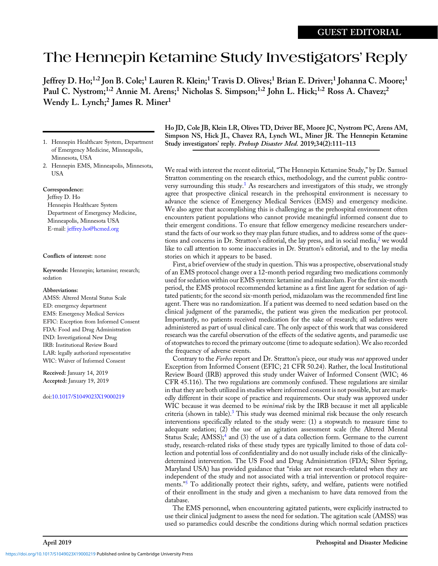## The Hennepin Ketamine Study Investigators' Reply

Jeffrey D. Ho;<sup>1,2</sup> Jon B. Cole;<sup>1</sup> Lauren R. Klein;<sup>1</sup> Travis D. Olives;<sup>1</sup> Brian E. Driver;<sup>1</sup> Johanna C. Moore;<sup>1</sup> Paul C. Nystrom;<sup>1,2</sup> Annie M. Arens;<sup>1</sup> Nicholas S. Simpson;<sup>1,2</sup> John L. Hick;<sup>1,2</sup> Ross A. Chavez;<sup>2</sup> Wendy L. Lynch;<sup>2</sup> James R. Miner<sup>1</sup>

- 1. Hennepin Healthcare System, Department of Emergency Medicine, Minneapolis, Minnesota, USA
- 2. Hennepin EMS, Minneapolis, Minnesota, USA

## Correspondence:

Jeffrey D. Ho Hennepin Healthcare System Department of Emergency Medicine, Minneapolis, Minnesota USA E-mail: [jeffrey.ho@hcmed.org](mailto:jeffrey.ho@hcmed.org)

## Conflicts of interest: none

Keywords: Hennepin; ketamine; research; sedation

## Abbreviations:

AMSS: Altered Mental Status Scale ED: emergency department EMS: Emergency Medical Services EFIC: Exception from Informed Consent FDA: Food and Drug Administration IND: Investigational New Drug IRB: Institutional Review Board LAR: legally authorized representative WIC: Waiver of Informed Consent

Received: January 14, 2019 Accepted: January 19, 2019

doi:[10.1017/S1049023X19000219](https://doi.org/10.1017/S1049023X19000219)

Ho JD, Cole JB, Klein LR, Olives TD, Driver BE, Moore JC, Nystrom PC, Arens AM, Simpson NS, Hick JL, Chavez RA, Lynch WL, Miner JR. The Hennepin Ketamine Study investigators' reply. Prehosp Disaster Med. 2019;34(2):111–113

We read with interest the recent editorial, "The Hennepin Ketamine Study," by Dr. Samuel Stratton commenting on the research ethics, methodology, and the current public controversy surrounding this study.<sup>1</sup> As researchers and investigators of this study, we strongly agree that prospective clinical research in the prehospital environment is necessary to advance the science of Emergency Medical Services (EMS) and emergency medicine. We also agree that accomplishing this is challenging as the prehospital environment often encounters patient populations who cannot provide meaningful informed consent due to their emergent conditions. To ensure that fellow emergency medicine researchers understand the facts of our work so they may plan future studies, and to address some of the ques-tions and concerns in Dr. Stratton's editorial, the lay press, and in social media,<sup>[2](#page-2-0)</sup> we would like to call attention to some inaccuracies in Dr. Stratton's editorial, and to the lay media stories on which it appears to be based.

First, a brief overview of the study in question. This was a prospective, observational study of an EMS protocol change over a 12-month period regarding two medications commonly used for sedation within our EMS system: ketamine and midazolam. For the first six-month period, the EMS protocol recommended ketamine as a first line agent for sedation of agitated patients; for the second six-month period, midazolam was the recommended first line agent. There was no randomization. If a patient was deemed to need sedation based on the clinical judgment of the paramedic, the patient was given the medication per protocol. Importantly, no patients received medication for the sake of research; all sedatives were administered as part of usual clinical care. The only aspect of this work that was considered research was the careful observation of the effects of the sedative agents, and paramedic use of stopwatches to record the primary outcome (time to adequate sedation). We also recorded the frequency of adverse events.

Contrary to the Forbes report and Dr. Stratton's piece, our study was not approved under Exception from Informed Consent (EFIC; 21 CFR 50.24). Rather, the local Institutional Review Board (IRB) approved this study under Waiver of Informed Consent (WIC; 46 CFR 45.116). The two regulations are commonly confused. These regulations are similar in that they are both utilized in studies where informed consent is not possible, but are markedly different in their scope of practice and requirements. Our study was approved under WIC because it was deemed to be *minimal* risk by the IRB because it met all applicable criteria (shown in table). $3$  This study was deemed minimal risk because the only research interventions specifically related to the study were: (1) a stopwatch to measure time to adequate sedation; (2) the use of an agitation assessment scale (the Altered Mental Status Scale;  $AMSS$ ;<sup>[4](#page-2-0)</sup> and (3) the use of a data collection form. Germane to the current study, research-related risks of these study types are typically limited to those of data collection and potential loss of confidentiality and do not usually include risks of the clinicallydetermined intervention. The US Food and Drug Administration (FDA; Silver Spring, Maryland USA) has provided guidance that "risks are not research-related when they are independent of the study and not associated with a trial intervention or protocol requirements." [5](#page-2-0) To additionally protect their rights, safety, and welfare, patients were notified of their enrollment in the study and given a mechanism to have data removed from the database.

The EMS personnel, when encountering agitated patients, were explicitly instructed to use their clinical judgment to assess the need for sedation. The agitation scale (AMSS) was used so paramedics could describe the conditions during which normal sedation practices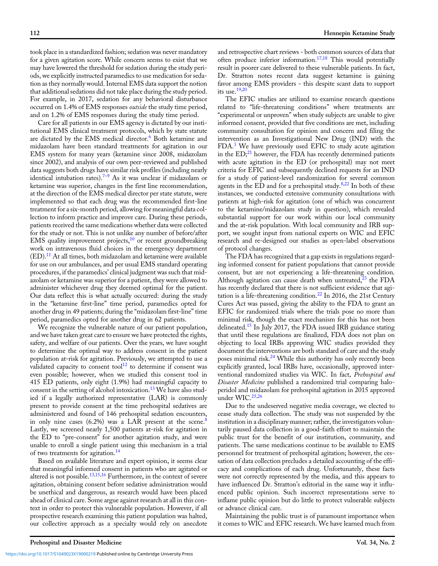took place in a standardized fashion; sedation was never mandatory for a given agitation score. While concern seems to exist that we may have lowered the threshold for sedation during the study periods, we explicitly instructed paramedics to use medication for sedation as they normally would. Internal EMS data support the notion that additional sedations did not take place during the study period. For example, in 2017, sedation for any behavioral disturbance occurred on 1.4% of EMS responses *outside* the study time period, and on 1.2% of EMS responses during the study time period.

Care for all patients in our EMS agency is dictated by our institutional EMS clinical treatment protocols, which by state statute are dictated by the EMS medical director.<sup>[6](#page-2-0)</sup> Both ketamine and midazolam have been standard treatments for agitation in our EMS system for many years (ketamine since 2008, midazolam since 2002), and analysis of our own peer-reviewed and published data suggests both drugs have similar risk profiles (including nearly identical intubation rates).[7](#page-2-0)–[9](#page-2-0) As it was unclear if midazolam or ketamine was superior, changes in the first line recommendation, at the direction of the EMS medical director per state statute, were implemented so that each drug was the recommended first-line treatment for a six-month period, allowing for meaningful data collection to inform practice and improve care. During these periods, patients received the same medications whether data were collected for the study or not. This is not unlike any number of before/after EMS quality improvement projects,<sup>10</sup> or recent groundbreaking work on intravenous fluid choices in the emergency department  $(ED).<sup>11</sup>$  $(ED).<sup>11</sup>$  $(ED).<sup>11</sup>$  At all times, both midazolam and ketamine were available for use on our ambulances, and per usual EMS standard operating procedures, if the paramedics' clinical judgment was such that midazolam or ketamine was superior for a patient, they were allowed to administer whichever drug they deemed optimal for the patient. Our data reflect this is what actually occurred: during the study in the "ketamine first-line" time period, paramedics opted for another drug in 49 patients; during the "midazolam first-line" time period, paramedics opted for another drug in 62 patients.

We recognize the vulnerable nature of our patient population, and we have taken great care to ensure we have protected the rights, safety, and welfare of our patients. Over the years, we have sought to determine the optimal way to address consent in the patient population at-risk for agitation. Previously, we attempted to use a validated capacity to consent tool $12$  to determine if consent was even possible; however, when we studied this consent tool in 415 ED patients, only eight (1.9%) had meaningful capacity to consent in the setting of alcohol intoxication.<sup>[13](#page-2-0)</sup> We have also studied if a legally authorized representative (LAR) is commonly present to provide consent at the time prehospital sedatives are administered and found of 146 prehospital sedation encounters, in only nine cases  $(6.2%)$  was a LAR present at the scene.<sup>[8](#page-2-0)</sup> Lastly, we screened nearly 1,500 patients at-risk for agitation in the ED to "pre-consent" for another agitation study, and were unable to enroll a single patient using this mechanism in a trial of two treatments for agitation.<sup>[14](#page-2-0)</sup>

Based on available literature and expert opinion, it seems clear that meaningful informed consent in patients who are agitated or altered is not possible.<sup>[13,15,16](#page-2-0)</sup> Furthermore, in the context of severe agitation, obtaining consent before sedative administration would be unethical and dangerous, as research would have been placed ahead of clinical care. Some argue against research at all in this context in order to protect this vulnerable population. However, if all prospective research examining this patient population was halted, our collective approach as a specialty would rely on anecdote

112 Hennepin Ketamine Study

and retrospective chart reviews - both common sources of data that often produce inferior information.[17,18](#page-2-0) This would potentially result in poorer care delivered to these vulnerable patients. In fact, Dr. Stratton notes recent data suggest ketamine is gaining favor among EMS providers - this despite scant data to support its use.[19](#page-2-0),[20](#page-2-0)

The EFIC studies are utilized to examine research questions related to "life-threatening conditions" where treatments are "experimental or unproven" when study subjects are unable to give informed consent, provided that five conditions are met, including community consultation for opinion and concern and filing the intervention as an Investigational New Drug (IND) with the FDA.[3](#page-2-0) We have previously used EFIC to study acute agitation in the  $ED;^{21}$  $ED;^{21}$  $ED;^{21}$  however, the FDA has recently determined patients with acute agitation in the ED (or prehospital) may not meet criteria for EFIC and subsequently declined requests for an IND for a study of patient-level randomization for several common agents in the ED and for a prehospital study.<sup>[8,22](#page-2-0)</sup> In both of these instances, we conducted extensive community consultations with patients at high-risk for agitation (one of which was concurrent to the ketamine/midazolam study in question), which revealed substantial support for our work within our local community and the at-risk population. With local community and IRB support, we sought input from national experts on WIC and EFIC research and re-designed our studies as open-label observations of protocol changes.

The FDA has recognized that a gap exists in regulations regarding informed consent for patient populations that cannot provide consent, but are not experiencing a life-threatening condition. Although agitation can cause death when untreated, $^{23}$  the FDA has recently declared that there is not sufficient evidence that agi-tation is a life-threatening condition.<sup>[22](#page-2-0)</sup> In 2016, the 21st Century Cures Act was passed, giving the ability to the FDA to grant an EFIC for randomized trials where the trials pose no more than minimal risk, though the exact mechanism for this has not been delineated.[15](#page-2-0) In July 2017, the FDA issued IRB guidance stating that until these regulations are finalized, FDA does not plan on objecting to local IRBs approving WIC studies provided they document the interventions are both standard of care and the study poses minimal risk.<sup>[24](#page-2-0)</sup> While this authority has only recently been explicitly granted, local IRBs have, occasionally, approved interventional randomized studies via WIC. In fact, Prehospital and Disaster Medicine published a randomized trial comparing haloperidol and midazolam for prehospital agitation in 2015 approved under WIC.<sup>[25,26](#page-2-0)</sup>

Due to the undeserved negative media coverage, we elected to cease study data collection. The study was not suspended by the institution in a disciplinary manner; rather, the investigators voluntarily paused data collection in a good-faith effort to maintain the public trust for the benefit of our institution, community, and patients. The same medications continue to be available to EMS personnel for treatment of prehospital agitation; however, the cessation of data collection precludes a detailed accounting of the efficacy and complications of each drug. Unfortunately, these facts were not correctly represented by the media, and this appears to have influenced Dr. Stratton's editorial in the same way it influenced public opinion. Such incorrect representations serve to inflame public opinion but do little to protect vulnerable subjects or advance clinical care.

Maintaining the public trust is of paramount importance when it comes to WIC and EFIC research. We have learned much from